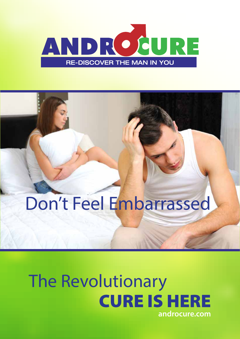

# Don't Feel Embarrassed

## The Revolutionary CURE IS HERE **androcure.com**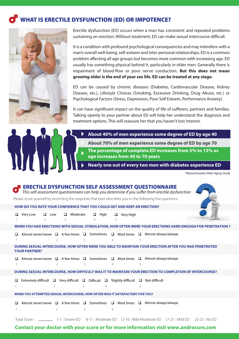#### WHAT IS ERECTILE DYSFUNCTION (ED) OR IMPOTENCE?



Erectile dysfunction (ED) occurs when a man has consistent and repeated problems sustaining an erection. Without treatment, ED can make sexual intercourse difficult.

It is a condition with profound psychological consequencies and may interefere with a man's overall well-being, self-esteem and inter-personal relationships. ED is a common problem affecting all age groups but becomes more common with increasing age. ED usually has something physical behind it, particularly in older men. Generally there is impairment of blood-flow or poor nerve conduction. But this does not mean **growing older is the end of your sex life. ED can be treated at any stage.**

ED can be caused by chronic diseases (Diabetes, Cardiovascular Disease, Kidney Disease, etc.), Lifestyle Choices (Smoking, Excessive Drinking, Drug Abuse, etc.) or Psychological Factors (Stress, Depression, Poor Self Esteem, Performance Anxiety).

It can have significant impact on the quality of life of sufferers, partners and families. Talking openly to your partner about ED will help her understand the diagnosis and treatment options. This will reassure her that you haven't lost interest.



**About 70% of men experience some degree of ED by age 70** 

**The percentage of complete ED increases from 5% to 15% as age increases from 40 to 70 years**

**Nearly one out of every two men with diabetes experience ED**

\*Massachusetts Male Aging Study

| <b>ERECTILE DYSFUNCTION SELF ASSESSMENT QUESTIONNAIRE</b><br>This self-assessment questionnaire can help you determine if you suffer from erectile dysfunction |
|----------------------------------------------------------------------------------------------------------------------------------------------------------------|
| Please score yourself by encircling the response that best describes you in the following five questions                                                       |
| HOW DO YOU RATE YOUR CONFIDENCE THAT YOU COULD GET AND KEEP AN ERECTION?                                                                                       |
| Moderate<br>Very Low<br>$\Box$<br>Low<br>$\Box$<br>$\Box$ High<br>$\Box$ Very High<br>$\Box$<br>$\overline{4}$<br>3<br>5                                       |
| WHEN YOU HAD ERECTIONS WITH SEXUAL STIMULATION, HOW OFTEN WERE YOUR ERECTIONS HARD ENOUGH FOR PENETRATION ?                                                    |
| Almost never/never □ A few times □ Sometimes □ Most times □ Almost always/always<br>□<br>5<br>2<br>$\overline{4}$<br>3                                         |
| DURING SEXUAL INTERCOURSE, HOW OFTEN WERE YOU ABLE TO MAINTAIN YOUR ERECTION AFTER YOU HAD PENETRATED<br><b>YOUR PARTNER?</b>                                  |
| Almost never/never $\Box$ A few times $\Box$ Sometimes $\Box$ Most times $\Box$ Almost always/always<br>5<br>$\mathcal{P}$<br>ζ<br>4                           |
| DURING SEXUAL INTERCOURSE, HOW DIFFICULT WAS IT TO MAINTAIN YOUR ERECTION TO COMPLETION OF INTERCOURSE?                                                        |
| Extremely difficult $\Box$ Very difficult $\Box$ Difficult $\Box$ Slightly difficult $\Box$ Not difficult<br>3<br>5<br>2                                       |
| WHEN YOU ATTEMPTED SEXUAL INTERCOURSE, HOW OFTEN WAS IT SATISFACTORY FOR YOU?                                                                                  |
| Almost never/never $\Box$ A few times<br>$\Box$ Sometimes $\Box$ Most times $\Box$ Almost always/always<br>◻<br>5<br>$\overline{2}$<br>3<br>4                  |
| Total Score: 2002 1-7: Severe ED 8-11: Moderate ED 12-16: Mild-Moderate ED 17-21: Mild ED<br>$22 - 25 : NoED$                                                  |

#### **Contact your doctor with your score or for more information visit www.androcure.com**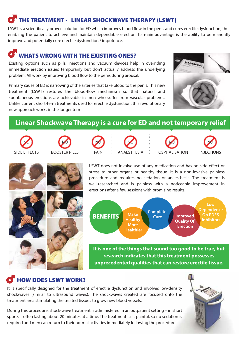#### THE TREATMENT - LINEAR SHOCKWAVE THERAPY (LSWT)

LSWT is a scientifically proven solution for ED which improves blood flow in the penis and cures erectile dysfunction, thus enabling the patient to achieve and maintain dependable erection. Its main advantage is the ability to permanently improve and potentially cure erectile dysfunction / impotence.

#### WHATS WRONG WITH THE EXISTING ONES?

Existing options such as pills, injections and vacuum devices help in overriding immediate erection issues temporarily but don't actually address the underlying problem. All work by improving blood flow to the penis during arousal.

Primary cause of ED is narrowing of the arteries that take blood to the penis. This new treatment (LSWT) restores the blood-flow mechanism so that natural and spontaneous erections are achievable in men who suffer from vascular problems. Unlike current short-term treatments used for erectile dysfunction, this revolutionary new approach works in the longer term.



#### **Linear Shockwave Therapy is a cure for ED and not temporary relief**















LSWT does not involve use of any medication and has no side-effect or stress to other organs or healthy tissue. It is a non-invasive painless procedure and requires no sedation or anaesthesia. The treatment is well-researched and is painless with a noticeable improvement in erections after a few sessions with promising results.



**It is one of the things that sound too good to be true, but research indicates that this treatment possesses unprecedented qualities that can restore erectile tissue.** 

#### HOW DOES LSWT WORK?

It is specifically designed for the treatment of erectile dysfunction and involves low-density shockwaves (similar to ultrasound waves). The shockwaves created are focused onto the treatment area stimulating the treated tissues to grow new blood vessels.

During this procedure, shock-wave treatment is administered in an outpatient setting – in short spurts – often lasting about 20 minutes at a time. The treatment isn't painful, so no sedation is required and men can return to their normal activities immediately following the procedure.